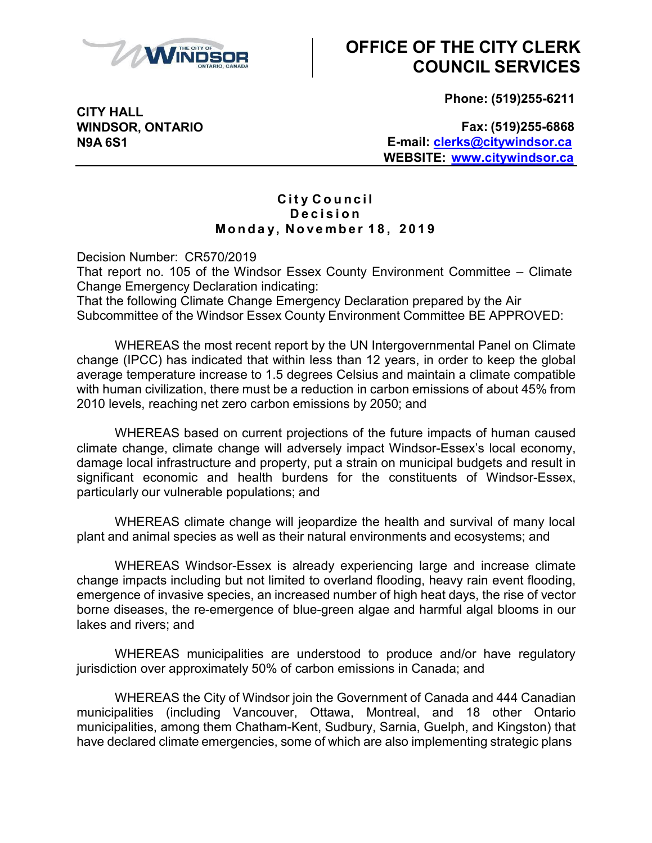

# **OFFICE OF THE CITY CLERK COUNCIL SERVICES**

**Phone: (519)255-6211**

**Fax: (519)255-6868 E-mail: clerks@citywindsor.ca WEBSITE: www.citywindsor.ca**

### **C it y C o u nc i l D e c i s i o n M o n d a y, N o v e m b e r 1 8 , 2 0 1 9**

Decision Number: CR570/2019 That report no. 105 of the Windsor Essex County Environment Committee – Climate Change Emergency Declaration indicating:

That the following Climate Change Emergency Declaration prepared by the Air Subcommittee of the Windsor Essex County Environment Committee BE APPROVED:

WHEREAS the most recent report by the UN Intergovernmental Panel on Climate change (IPCC) has indicated that within less than 12 years, in order to keep the global average temperature increase to 1.5 degrees Celsius and maintain a climate compatible with human civilization, there must be a reduction in carbon emissions of about 45% from 2010 levels, reaching net zero carbon emissions by 2050; and

WHEREAS based on current projections of the future impacts of human caused climate change, climate change will adversely impact Windsor-Essex's local economy, damage local infrastructure and property, put a strain on municipal budgets and result in significant economic and health burdens for the constituents of Windsor-Essex, particularly our vulnerable populations; and

WHEREAS climate change will jeopardize the health and survival of many local plant and animal species as well as their natural environments and ecosystems; and

WHEREAS Windsor-Essex is already experiencing large and increase climate change impacts including but not limited to overland flooding, heavy rain event flooding, emergence of invasive species, an increased number of high heat days, the rise of vector borne diseases, the re-emergence of blue-green algae and harmful algal blooms in our lakes and rivers; and

WHEREAS municipalities are understood to produce and/or have regulatory jurisdiction over approximately 50% of carbon emissions in Canada; and

WHEREAS the City of Windsor join the Government of Canada and 444 Canadian municipalities (including Vancouver, Ottawa, Montreal, and 18 other Ontario municipalities, among them Chatham-Kent, Sudbury, Sarnia, Guelph, and Kingston) that have declared climate emergencies, some of which are also implementing strategic plans

**CITY HALL WINDSOR, ONTARIO N9A 6S1**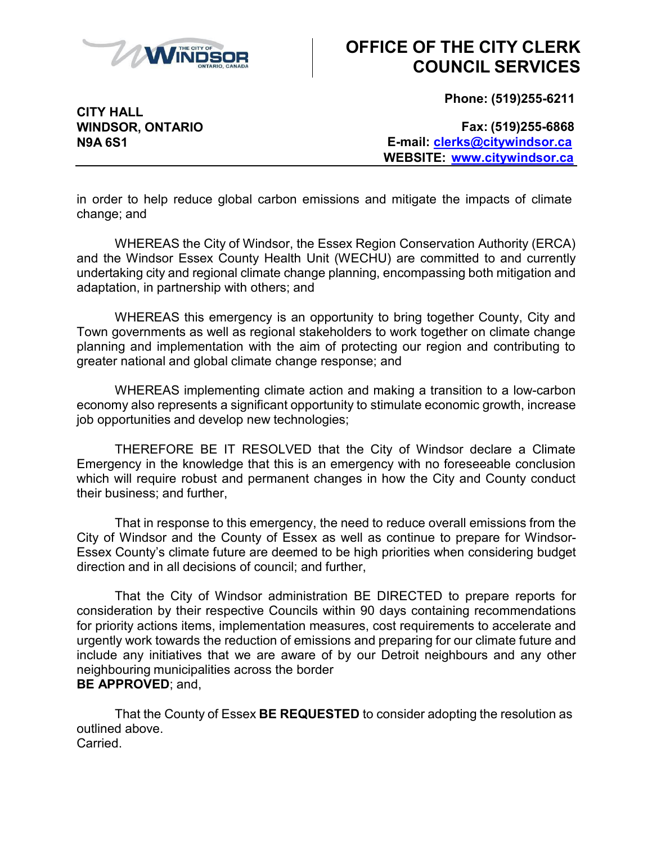

# **OFFICE OF THE CITY CLERK COUNCIL SERVICES**

**Phone: (519)255-6211**

**CITY HALL WINDSOR, ONTARIO N9A 6S1**

**Fax: (519)255-6868 E-mail: clerks@citywindsor.ca WEBSITE: www.citywindsor.ca**

in order to help reduce global carbon emissions and mitigate the impacts of climate change; and

WHEREAS the City of Windsor, the Essex Region Conservation Authority (ERCA) and the Windsor Essex County Health Unit (WECHU) are committed to and currently undertaking city and regional climate change planning, encompassing both mitigation and adaptation, in partnership with others; and

WHEREAS this emergency is an opportunity to bring together County, City and Town governments as well as regional stakeholders to work together on climate change planning and implementation with the aim of protecting our region and contributing to greater national and global climate change response; and

WHEREAS implementing climate action and making a transition to a low-carbon economy also represents a significant opportunity to stimulate economic growth, increase job opportunities and develop new technologies;

THEREFORE BE IT RESOLVED that the City of Windsor declare a Climate Emergency in the knowledge that this is an emergency with no foreseeable conclusion which will require robust and permanent changes in how the City and County conduct their business; and further,

That in response to this emergency, the need to reduce overall emissions from the City of Windsor and the County of Essex as well as continue to prepare for Windsor-Essex County's climate future are deemed to be high priorities when considering budget direction and in all decisions of council; and further,

That the City of Windsor administration BE DIRECTED to prepare reports for consideration by their respective Councils within 90 days containing recommendations for priority actions items, implementation measures, cost requirements to accelerate and urgently work towards the reduction of emissions and preparing for our climate future and include any initiatives that we are aware of by our Detroit neighbours and any other neighbouring municipalities across the border **BE APPROVED**; and,

That the County of Essex **BE REQUESTED** to consider adopting the resolution as outlined above. Carried.